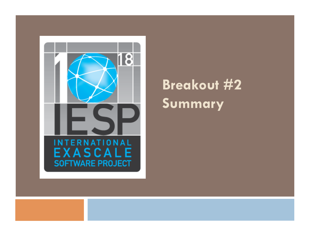

## **Breakout #2 Summary**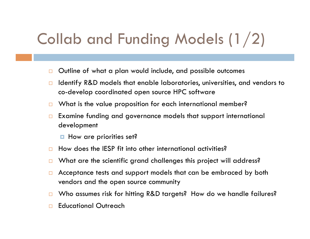# Collab and Funding Models (1/2)

- □ Outline of what a plan would include, and possible outcomes
- $\Box$  Identify R&D models that enable laboratories, universities, and vendors to co-develop coordinated open source HPC software
- $\Box$  What is the value proposition for each international member?
- □ Examine funding and governance models that support international development
	- $\blacksquare$  How are priorities set?
- $\Box$  How does the IESP fit into other international activities?
- $\Box$  What are the scientific grand challenges this project will address?
- $\Box$  Acceptance tests and support models that can be embraced by both vendors and the open source community
- □ Who assumes risk for hitting R&D targets? How do we handle failures?
- **Educational Outreach**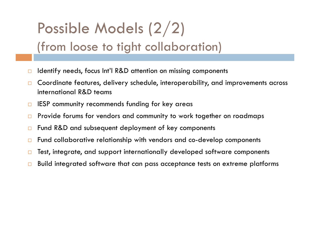## Possible Models (2/2) (from loose to tight collaboration)

- $\Box$  Identify needs, focus Int'l R&D attention on missing components
- □ Coordinate features, delivery schedule, interoperability, and improvements across international R&D teams
- $\Box$  IESP community recommends funding for key areas
- □ Provide forums for vendors and community to work together on roadmaps
- □ Fund R&D and subsequent deployment of key components
- □ Fund collaborative relationship with vendors and co-develop components
- $\Box$  Test, integrate, and support internationally developed software components
- $\Box$  Build integrated software that can pass acceptance tests on extreme platforms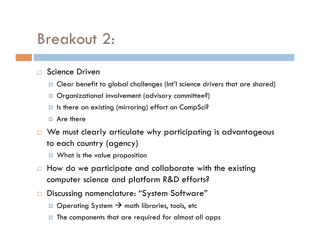## Breakout 2:

#### □ Science Driven

- Clear benefit to global challenges (Int'l science drivers that are shared)
- **Organizational involvement (advisory committee?)**
- **■** Is there an existing (mirroring) effort on CompSci?
- **E** Are there
- □ We must clearly articulate why participating is advantageous to each country (agency)
	- **D** What is the value proposition
- $\Box$  How do we participate and collaborate with the existing computer science and platform R&D efforts?
- Discussing nomenclature: "System Software"
	- $\Box$  Operating System  $\rightarrow$  math libraries, tools, etc
	- $\blacksquare$  The components that are required for almost all apps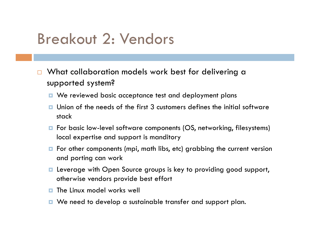### Breakout 2: Vendors

- □ What collaboration models work best for delivering a supported system?
	- **D** We reviewed basic acceptance test and deployment plans
	- $\Box$  Union of the needs of the first 3 customers defines the initial software stack
	- **n** For basic low-level software components (OS, networking, filesystems) local expertise and support is manditory
	- $\blacksquare$  For other components (mpi, math libs, etc) grabbing the current version and porting can work
	- **E** Leverage with Open Source groups is key to providing good support, otherwise vendors provide best effort
	- $\blacksquare$  The Linux model works well
	- We need to develop a sustainable transfer and support plan.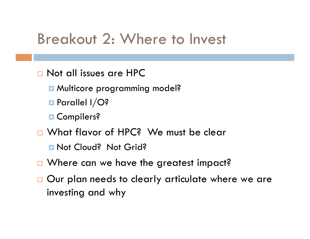#### Breakout 2: Where to Invest

- Not all issues are HPC
	- **□ Multicore programming model?**
	- **Parallel I/O?**
	- **D** Compilers?
- □ What flavor of HPC? We must be clear
	- **Not Cloud? Not Grid?**
- □ Where can we have the greatest impact?
- □ Our plan needs to clearly articulate where we are investing and why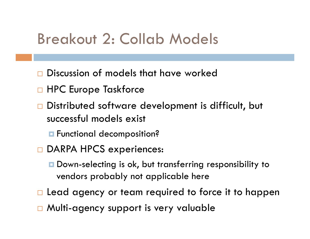### Breakout 2: Collab Models

- Discussion of models that have worked
- □ HPC Europe Taskforce
- □ Distributed software development is difficult, but successful models exist
	- **E** Functional decomposition?
- DARPA HPCS experiences:
	- Down-selecting is ok, but transferring responsibility to vendors probably not applicable here
- $\Box$  Lead agency or team required to force it to happen
- □ Multi-agency support is very valuable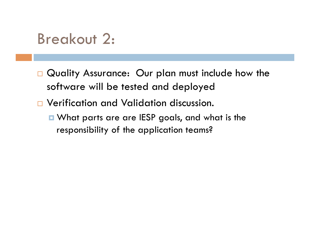### Breakout 2:

- Quality Assurance: Our plan must include how the software will be tested and deployed
- Verification and Validation discussion.
	- What parts are are IESP goals, and what is the responsibility of the application teams?